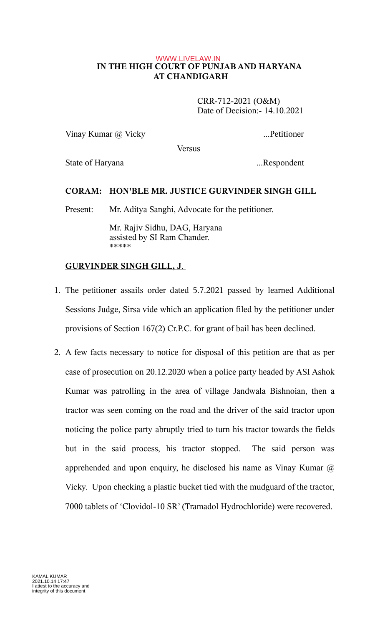### **IN THE HIGH COURT OF PUNJAB AND HARYANA AT CHANDIGARH** WWW.LIVELAW.IN

 CRR-712-2021 (O&M) Date of Decision:- 14.10.2021

Vinay Kumar @ Vicky ...Petitioner

**Versus** 

State of Haryana ...Respondent

## **CORAM: HON'BLE MR. JUSTICE GURVINDER SINGH GILL**

Present: Mr. Aditya Sanghi, Advocate for the petitioner.

Mr. Rajiv Sidhu, DAG, Haryana assisted by SI Ram Chander. \*\*\*\*\*

# **GURVINDER SINGH GILL, J.**

- 1. The petitioner assails order dated 5.7.2021 passed by learned Additional Sessions Judge, Sirsa vide which an application filed by the petitioner under provisions of Section 167(2) Cr.P.C. for grant of bail has been declined.
- 2. A few facts necessary to notice for disposal of this petition are that as per case of prosecution on 20.12.2020 when a police party headed by ASI Ashok Kumar was patrolling in the area of village Jandwala Bishnoian, then a tractor was seen coming on the road and the driver of the said tractor upon noticing the police party abruptly tried to turn his tractor towards the fields but in the said process, his tractor stopped. The said person was apprehended and upon enquiry, he disclosed his name as Vinay Kumar  $\omega$ Vicky. Upon checking a plastic bucket tied with the mudguard of the tractor, 7000 tablets of 'Clovidol-10 SR' (Tramadol Hydrochloride) were recovered.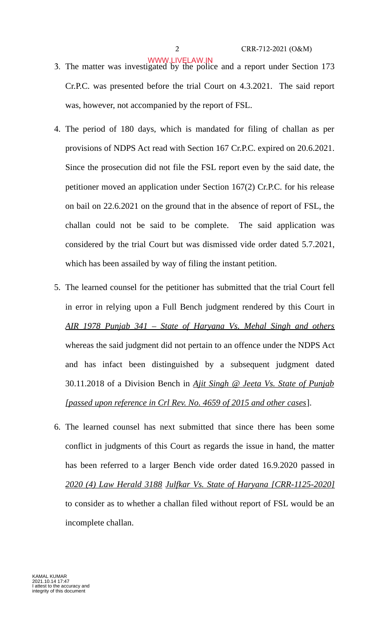- 3. The matter was investigated by the police and a report under Section 173 Cr.P.C. was presented before the trial Court on 4.3.2021. The said report was, however, not accompanied by the report of FSL. WWW.LIVELAW.IN
- 4. The period of 180 days, which is mandated for filing of challan as per provisions of NDPS Act read with Section 167 Cr.P.C. expired on 20.6.2021. Since the prosecution did not file the FSL report even by the said date, the petitioner moved an application under Section 167(2) Cr.P.C. for his release on bail on 22.6.2021 on the ground that in the absence of report of FSL, the challan could not be said to be complete. The said application was considered by the trial Court but was dismissed vide order dated 5.7.2021, which has been assailed by way of filing the instant petition.
- 5. The learned counsel for the petitioner has submitted that the trial Court fell in error in relying upon a Full Bench judgment rendered by this Court in *AIR 1978 Punjab 341 – State of Haryana Vs. Mehal Singh and others* whereas the said judgment did not pertain to an offence under the NDPS Act and has infact been distinguished by a subsequent judgment dated 30.11.2018 of a Division Bench in *Ajit Singh @ Jeeta Vs. State of Punjab [passed upon reference in Crl Rev. No. 4659 of 2015 and other cases*].
- 6. The learned counsel has next submitted that since there has been some conflict in judgments of this Court as regards the issue in hand, the matter has been referred to a larger Bench vide order dated 16.9.2020 passed in *2020 (4) Law Herald 3188 Julfkar Vs. State of Haryana [CRR-1125-2020]* to consider as to whether a challan filed without report of FSL would be an incomplete challan.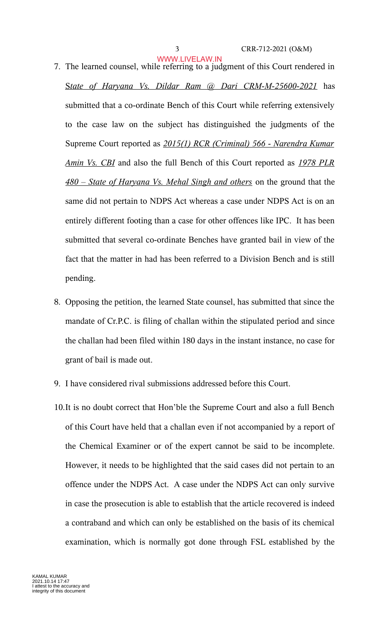#### 3 CRR-712-2021 (O&M)

- 7. The learned counsel, while referring to a judgment of this Court rendered in S *tate of Haryana Vs. Dildar Ram @ Dari CRM-M-25600-2021* has submitted that a co-ordinate Bench of this Court while referring extensively to the case law on the subject has distinguished the judgments of the Supreme Court reported as *2015(1) RCR (Criminal) 566 - Narendra Kumar Amin Vs. CBI* and also the full Bench of this Court reported as *1978 PLR 480 – State of Haryana Vs. Mehal Singh and others* on the ground that the WWW.LIVELAW.IN
	- same did not pertain to NDPS Act whereas a case under NDPS Act is on an entirely different footing than a case for other offences like IPC. It has been submitted that several co-ordinate Benches have granted bail in view of the fact that the matter in had has been referred to a Division Bench and is still pending.
- 8. Opposing the petition, the learned State counsel, has submitted that since the mandate of Cr.P.C. is filing of challan within the stipulated period and since the challan had been filed within 180 days in the instant instance, no case for grant of bail is made out.
- 9. I have considered rival submissions addressed before this Court.
- 10.It is no doubt correct that Hon'ble the Supreme Court and also a full Bench of this Court have held that a challan even if not accompanied by a report of the Chemical Examiner or of the expert cannot be said to be incomplete. However, it needs to be highlighted that the said cases did not pertain to an offence under the NDPS Act. A case under the NDPS Act can only survive in case the prosecution is able to establish that the article recovered is indeed a contraband and which can only be established on the basis of its chemical examination, which is normally got done through FSL established by the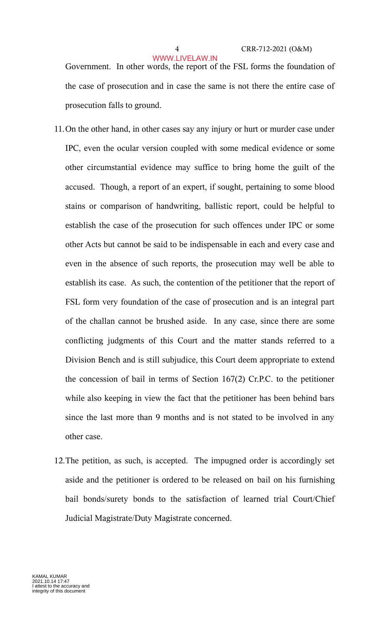### 4 CRR-712-2021 (O&M)

Government. In other words, the report of the FSL forms the foundation of the case of prosecution and in case the same is not there the entire case of prosecution falls to ground. WWW.LIVELAW.IN

- 11.On the other hand, in other cases say any injury or hurt or murder case under IPC, even the ocular version coupled with some medical evidence or some other circumstantial evidence may suffice to bring home the guilt of the accused. Though, a report of an expert, if sought, pertaining to some blood stains or comparison of handwriting, ballistic report, could be helpful to establish the case of the prosecution for such offences under IPC or some other Acts but cannot be said to be indispensable in each and every case and even in the absence of such reports, the prosecution may well be able to establish its case. As such, the contention of the petitioner that the report of FSL form very foundation of the case of prosecution and is an integral part of the challan cannot be brushed aside. In any case, since there are some conflicting judgments of this Court and the matter stands referred to a Division Bench and is still subjudice, this Court deem appropriate to extend the concession of bail in terms of Section 167(2) Cr.P.C. to the petitioner while also keeping in view the fact that the petitioner has been behind bars since the last more than 9 months and is not stated to be involved in any other case.
- 12.The petition, as such, is accepted. The impugned order is accordingly set aside and the petitioner is ordered to be released on bail on his furnishing bail bonds/surety bonds to the satisfaction of learned trial Court/Chief Judicial Magistrate/Duty Magistrate concerned.